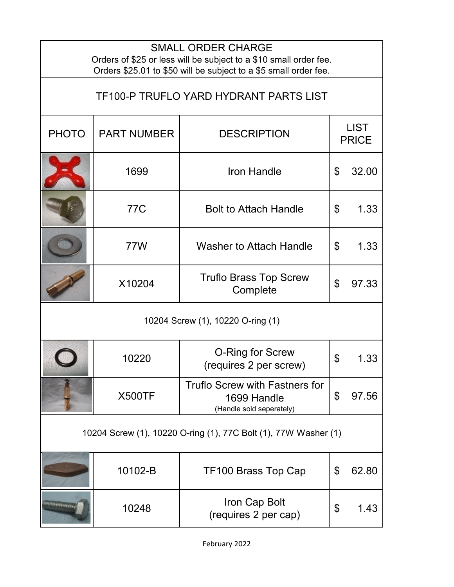| <b>SMALL ORDER CHARGE</b><br>Orders of \$25 or less will be subject to a \$10 small order fee.<br>Orders \$25.01 to \$50 will be subject to a \$5 small order fee. |                    |                                                                           |                             |       |  |  |  |
|--------------------------------------------------------------------------------------------------------------------------------------------------------------------|--------------------|---------------------------------------------------------------------------|-----------------------------|-------|--|--|--|
| <b>TF100-P TRUFLO YARD HYDRANT PARTS LIST</b>                                                                                                                      |                    |                                                                           |                             |       |  |  |  |
| <b>PHOTO</b>                                                                                                                                                       | <b>PART NUMBER</b> | <b>DESCRIPTION</b>                                                        | <b>LIST</b><br><b>PRICE</b> |       |  |  |  |
|                                                                                                                                                                    | 1699               | <b>Iron Handle</b>                                                        | \$                          | 32.00 |  |  |  |
|                                                                                                                                                                    | <b>77C</b>         | <b>Bolt to Attach Handle</b>                                              | \$                          | 1.33  |  |  |  |
|                                                                                                                                                                    | 77W                | <b>Washer to Attach Handle</b>                                            | \$                          | 1.33  |  |  |  |
|                                                                                                                                                                    | X10204             | <b>Truflo Brass Top Screw</b><br>Complete                                 | \$                          | 97.33 |  |  |  |
| 10204 Screw (1), 10220 O-ring (1)                                                                                                                                  |                    |                                                                           |                             |       |  |  |  |
|                                                                                                                                                                    | 10220              | O-Ring for Screw<br>(requires 2 per screw)                                | \$                          | 1.33  |  |  |  |
|                                                                                                                                                                    | <b>X500TF</b>      | Truflo Screw with Fastners for<br>1699 Handle<br>(Handle sold seperately) | \$                          | 97.56 |  |  |  |
| 10204 Screw (1), 10220 O-ring (1), 77C Bolt (1), 77W Washer (1)                                                                                                    |                    |                                                                           |                             |       |  |  |  |
|                                                                                                                                                                    | 10102-B            | TF100 Brass Top Cap                                                       | \$                          | 62.80 |  |  |  |
| <b>President</b>                                                                                                                                                   | 10248              | Iron Cap Bolt<br>(requires 2 per cap)                                     | \$                          | 1.43  |  |  |  |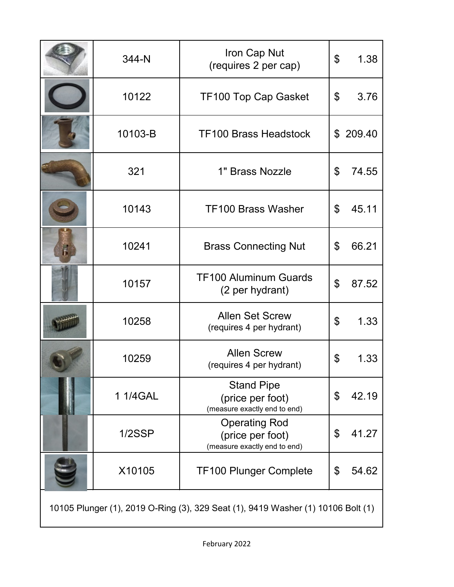|                                                                                  | 344-N     | Iron Cap Nut<br>(requires 2 per cap)                                     | $\mathfrak{L}$ | 1.38   |  |  |
|----------------------------------------------------------------------------------|-----------|--------------------------------------------------------------------------|----------------|--------|--|--|
|                                                                                  | 10122     | <b>TF100 Top Cap Gasket</b>                                              | \$             | 3.76   |  |  |
|                                                                                  | 10103-B   | <b>TF100 Brass Headstock</b>                                             | \$             | 209.40 |  |  |
|                                                                                  | 321       | 1" Brass Nozzle                                                          | \$             | 74.55  |  |  |
|                                                                                  | 10143     | <b>TF100 Brass Washer</b>                                                | \$             | 45.11  |  |  |
| F.                                                                               | 10241     | <b>Brass Connecting Nut</b>                                              | \$             | 66.21  |  |  |
|                                                                                  | 10157     | <b>TF100 Aluminum Guards</b><br>(2 per hydrant)                          | \$             | 87.52  |  |  |
|                                                                                  | 10258     | <b>Allen Set Screw</b><br>(requires 4 per hydrant)                       | \$             | 1.33   |  |  |
|                                                                                  | 10259     | <b>Allen Screw</b><br>(requires 4 per hydrant)                           | \$             | 1.33   |  |  |
|                                                                                  | 1 1/4 GAL | <b>Stand Pipe</b><br>(price per foot)<br>(measure exactly end to end)    | \$             | 42.19  |  |  |
|                                                                                  | 1/2SSP    | <b>Operating Rod</b><br>(price per foot)<br>(measure exactly end to end) | \$             | 41.27  |  |  |
|                                                                                  | X10105    | <b>TF100 Plunger Complete</b>                                            | \$             | 54.62  |  |  |
| 10105 Plunger (1), 2019 O-Ring (3), 329 Seat (1), 9419 Washer (1) 10106 Bolt (1) |           |                                                                          |                |        |  |  |